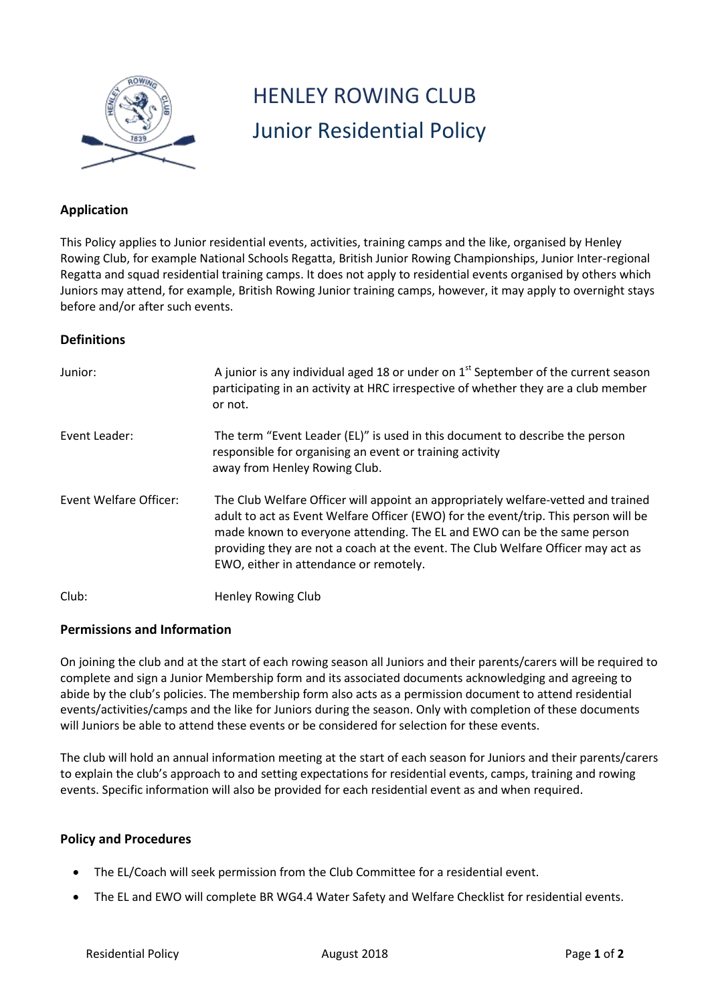

# HENLEY ROWING CLUB Junior Residential Policy

## **Application**

This Policy applies to Junior residential events, activities, training camps and the like, organised by Henley Rowing Club, for example National Schools Regatta, British Junior Rowing Championships, Junior Inter-regional Regatta and squad residential training camps. It does not apply to residential events organised by others which Juniors may attend, for example, British Rowing Junior training camps, however, it may apply to overnight stays before and/or after such events.

## **Definitions**

| Junior:                       | A junior is any individual aged 18 or under on $1st$ September of the current season<br>participating in an activity at HRC irrespective of whether they are a club member<br>or not.                                                                                                                                                                                             |
|-------------------------------|-----------------------------------------------------------------------------------------------------------------------------------------------------------------------------------------------------------------------------------------------------------------------------------------------------------------------------------------------------------------------------------|
| Event Leader:                 | The term "Event Leader (EL)" is used in this document to describe the person<br>responsible for organising an event or training activity<br>away from Henley Rowing Club.                                                                                                                                                                                                         |
| <b>Event Welfare Officer:</b> | The Club Welfare Officer will appoint an appropriately welfare-vetted and trained<br>adult to act as Event Welfare Officer (EWO) for the event/trip. This person will be<br>made known to everyone attending. The EL and EWO can be the same person<br>providing they are not a coach at the event. The Club Welfare Officer may act as<br>EWO, either in attendance or remotely. |
| Club:                         | Henley Rowing Club                                                                                                                                                                                                                                                                                                                                                                |

### **Permissions and Information**

On joining the club and at the start of each rowing season all Juniors and their parents/carers will be required to complete and sign a Junior Membership form and its associated documents acknowledging and agreeing to abide by the club's policies. The membership form also acts as a permission document to attend residential events/activities/camps and the like for Juniors during the season. Only with completion of these documents will Juniors be able to attend these events or be considered for selection for these events.

The club will hold an annual information meeting at the start of each season for Juniors and their parents/carers to explain the club's approach to and setting expectations for residential events, camps, training and rowing events. Specific information will also be provided for each residential event as and when required.

### **Policy and Procedures**

- The EL/Coach will seek permission from the Club Committee for a residential event.
- The EL and EWO will complete BR WG4.4 Water Safety and Welfare Checklist for residential events.